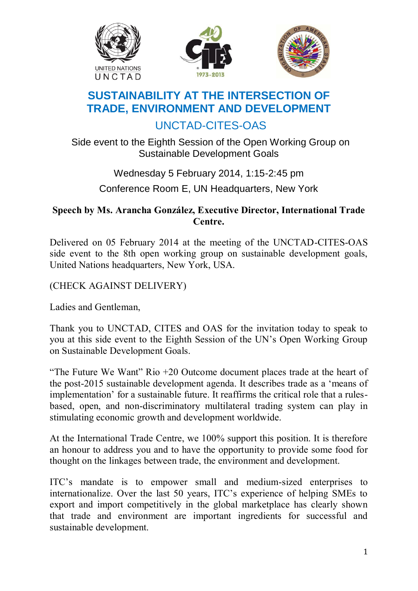





## **SUSTAINABILITY AT THE INTERSECTION OF TRADE, ENVIRONMENT AND DEVELOPMENT**

## UNCTAD-CITES-OAS

Side event to the Eighth Session of the Open Working Group on Sustainable Development Goals

## Wednesday 5 February 2014, 1:15-2:45 pm Conference Room E, UN Headquarters, New York

## **Speech by Ms. Arancha González, Executive Director, International Trade Centre.**

Delivered on 05 February 2014 at the meeting of the UNCTAD-CITES-OAS side event to the 8th open working group on sustainable development goals, United Nations headquarters, New York, USA.

(CHECK AGAINST DELIVERY)

Ladies and Gentleman,

Thank you to UNCTAD, CITES and OAS for the invitation today to speak to you at this side event to the Eighth Session of the UN"s Open Working Group on Sustainable Development Goals.

"The Future We Want" Rio +20 Outcome document places trade at the heart of the post-2015 sustainable development agenda. It describes trade as a "means of implementation" for a sustainable future. It reaffirms the critical role that a rulesbased, open, and non-discriminatory multilateral trading system can play in stimulating economic growth and development worldwide.

At the International Trade Centre, we 100% support this position. It is therefore an honour to address you and to have the opportunity to provide some food for thought on the linkages between trade, the environment and development.

ITC"s mandate is to empower small and medium-sized enterprises to internationalize. Over the last 50 years, ITC"s experience of helping SMEs to export and import competitively in the global marketplace has clearly shown that trade and environment are important ingredients for successful and sustainable development.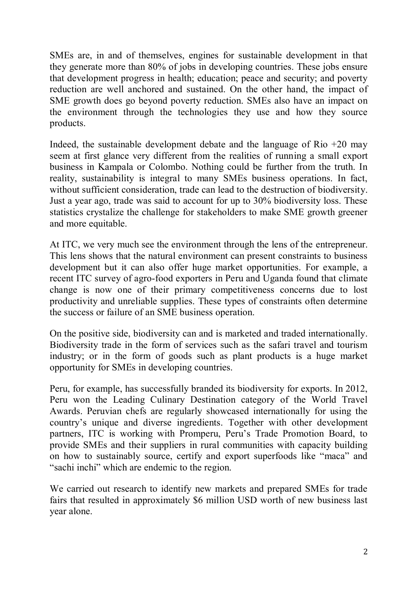SMEs are, in and of themselves, engines for sustainable development in that they generate more than 80% of jobs in developing countries. These jobs ensure that development progress in health; education; peace and security; and poverty reduction are well anchored and sustained. On the other hand, the impact of SME growth does go beyond poverty reduction. SMEs also have an impact on the environment through the technologies they use and how they source products.

Indeed, the sustainable development debate and the language of Rio  $+20$  may seem at first glance very different from the realities of running a small export business in Kampala or Colombo. Nothing could be further from the truth. In reality, sustainability is integral to many SMEs business operations. In fact, without sufficient consideration, trade can lead to the destruction of biodiversity. Just a year ago, trade was said to account for up to 30% biodiversity loss. These statistics crystalize the challenge for stakeholders to make SME growth greener and more equitable.

At ITC, we very much see the environment through the lens of the entrepreneur. This lens shows that the natural environment can present constraints to business development but it can also offer huge market opportunities. For example, a recent ITC survey of agro-food exporters in Peru and Uganda found that climate change is now one of their primary competitiveness concerns due to lost productivity and unreliable supplies. These types of constraints often determine the success or failure of an SME business operation.

On the positive side, biodiversity can and is marketed and traded internationally. Biodiversity trade in the form of services such as the safari travel and tourism industry; or in the form of goods such as plant products is a huge market opportunity for SMEs in developing countries.

Peru, for example, has successfully branded its biodiversity for exports. In 2012, Peru won the Leading Culinary Destination category of the World Travel Awards. Peruvian chefs are regularly showcased internationally for using the country"s unique and diverse ingredients. Together with other development partners, ITC is working with Promperu, Peru"s Trade Promotion Board, to provide SMEs and their suppliers in rural communities with capacity building on how to sustainably source, certify and export superfoods like "maca" and "sachi inchi" which are endemic to the region.

We carried out research to identify new markets and prepared SMEs for trade fairs that resulted in approximately \$6 million USD worth of new business last year alone.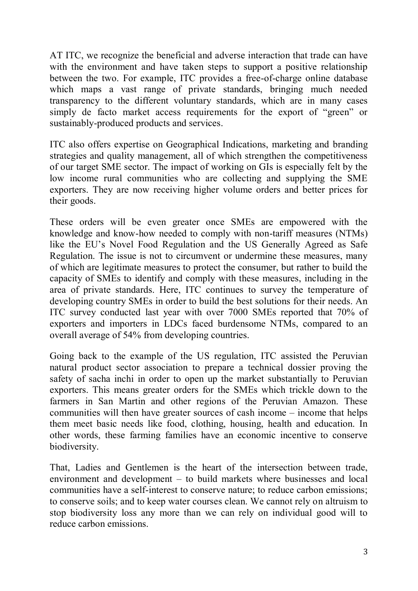AT ITC, we recognize the beneficial and adverse interaction that trade can have with the environment and have taken steps to support a positive relationship between the two. For example, ITC provides a free-of-charge online database which maps a vast range of private standards, bringing much needed transparency to the different voluntary standards, which are in many cases simply de facto market access requirements for the export of "green" or sustainably-produced products and services.

ITC also offers expertise on Geographical Indications, marketing and branding strategies and quality management, all of which strengthen the competitiveness of our target SME sector. The impact of working on GIs is especially felt by the low income rural communities who are collecting and supplying the SME exporters. They are now receiving higher volume orders and better prices for their goods.

These orders will be even greater once SMEs are empowered with the knowledge and know-how needed to comply with non-tariff measures (NTMs) like the EU"s Novel Food Regulation and the US Generally Agreed as Safe Regulation. The issue is not to circumvent or undermine these measures, many of which are legitimate measures to protect the consumer, but rather to build the capacity of SMEs to identify and comply with these measures, including in the area of private standards. Here, ITC continues to survey the temperature of developing country SMEs in order to build the best solutions for their needs. An ITC survey conducted last year with over 7000 SMEs reported that 70% of exporters and importers in LDCs faced burdensome NTMs, compared to an overall average of 54% from developing countries.

Going back to the example of the US regulation, ITC assisted the Peruvian natural product sector association to prepare a technical dossier proving the safety of sacha inchi in order to open up the market substantially to Peruvian exporters. This means greater orders for the SMEs which trickle down to the farmers in San Martin and other regions of the Peruvian Amazon. These communities will then have greater sources of cash income – income that helps them meet basic needs like food, clothing, housing, health and education. In other words, these farming families have an economic incentive to conserve biodiversity.

That, Ladies and Gentlemen is the heart of the intersection between trade, environment and development – to build markets where businesses and local communities have a self-interest to conserve nature; to reduce carbon emissions; to conserve soils; and to keep water courses clean. We cannot rely on altruism to stop biodiversity loss any more than we can rely on individual good will to reduce carbon emissions.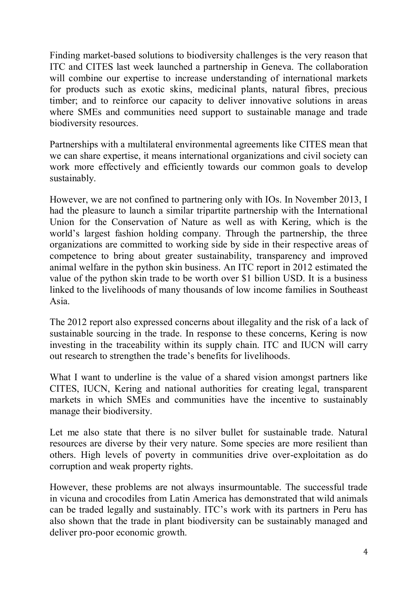Finding market-based solutions to biodiversity challenges is the very reason that ITC and CITES last week launched a partnership in Geneva. The collaboration will combine our expertise to increase understanding of international markets for products such as exotic skins, medicinal plants, natural fibres, precious timber; and to reinforce our capacity to deliver innovative solutions in areas where SMEs and communities need support to sustainable manage and trade biodiversity resources.

Partnerships with a multilateral environmental agreements like CITES mean that we can share expertise, it means international organizations and civil society can work more effectively and efficiently towards our common goals to develop sustainably.

However, we are not confined to partnering only with IOs. In November 2013, I had the pleasure to launch a similar tripartite partnership with the International Union for the Conservation of Nature as well as with Kering, which is the world"s largest fashion holding company. Through the partnership, the three organizations are committed to working side by side in their respective areas of competence to bring about greater sustainability, transparency and improved animal welfare in the python skin business. An ITC report in 2012 estimated the value of the python skin trade to be worth over \$1 billion USD. It is a business linked to the livelihoods of many thousands of low income families in Southeast Asia.

The 2012 report also expressed concerns about illegality and the risk of a lack of sustainable sourcing in the trade. In response to these concerns, Kering is now investing in the traceability within its supply chain. ITC and IUCN will carry out research to strengthen the trade"s benefits for livelihoods.

What I want to underline is the value of a shared vision amongst partners like CITES, IUCN, Kering and national authorities for creating legal, transparent markets in which SMEs and communities have the incentive to sustainably manage their biodiversity.

Let me also state that there is no silver bullet for sustainable trade. Natural resources are diverse by their very nature. Some species are more resilient than others. High levels of poverty in communities drive over-exploitation as do corruption and weak property rights.

However, these problems are not always insurmountable. The successful trade in vicuna and crocodiles from Latin America has demonstrated that wild animals can be traded legally and sustainably. ITC"s work with its partners in Peru has also shown that the trade in plant biodiversity can be sustainably managed and deliver pro-poor economic growth.